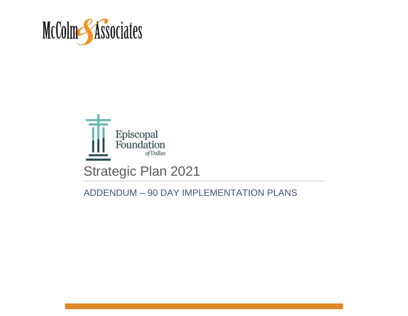



#### ADDENDUM – 90 DAY IMPLEMENTATION PLANS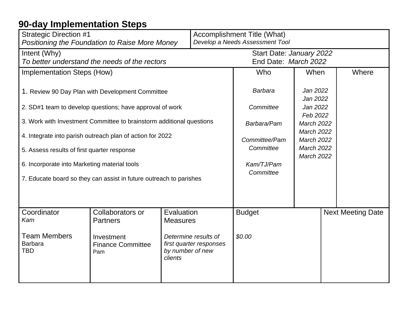| <b>Strategic Direction #1</b><br>Positioning the Foundation to Raise More Money                          |                                                                      |                               | Accomplishment Title (What)<br>Develop a Needs Assessment Tool |                                                  |                                                                                  |  |                          |
|----------------------------------------------------------------------------------------------------------|----------------------------------------------------------------------|-------------------------------|----------------------------------------------------------------|--------------------------------------------------|----------------------------------------------------------------------------------|--|--------------------------|
| Intent (Why)<br>To better understand the needs of the rectors                                            |                                                                      |                               |                                                                | Start Date: January 2022<br>End Date: March 2022 |                                                                                  |  |                          |
| <b>Implementation Steps (How)</b>                                                                        |                                                                      |                               |                                                                | Who                                              | When                                                                             |  | Where                    |
| 1. Review 90 Day Plan with Development Committee                                                         |                                                                      |                               |                                                                | Barbara                                          | Jan 2022<br>Jan 2022                                                             |  |                          |
|                                                                                                          | 2. SD#1 team to develop questions; have approval of work             |                               |                                                                | Committee                                        | Jan 2022<br>Feb 2022                                                             |  |                          |
|                                                                                                          | 3. Work with Investment Committee to brainstorm additional questions |                               |                                                                | Barbara/Pam                                      | <b>March 2022</b>                                                                |  |                          |
| 4. Integrate into parish outreach plan of action for 2022<br>5. Assess results of first quarter response |                                                                      |                               |                                                                | Committee/Pam<br>Committee                       | <b>March 2022</b><br><b>March 2022</b><br><b>March 2022</b><br><b>March 2022</b> |  |                          |
| 6. Incorporate into Marketing material tools                                                             |                                                                      |                               |                                                                | Kam/TJ/Pam                                       |                                                                                  |  |                          |
| 7. Educate board so they can assist in future outreach to parishes                                       |                                                                      |                               |                                                                | Committee                                        |                                                                                  |  |                          |
|                                                                                                          |                                                                      |                               |                                                                |                                                  |                                                                                  |  |                          |
| Coordinator<br>Kam                                                                                       | Collaborators or<br><b>Partners</b>                                  | Evaluation<br><b>Measures</b> |                                                                | <b>Budget</b>                                    |                                                                                  |  | <b>Next Meeting Date</b> |
| <b>Team Members</b><br><b>Barbara</b><br><b>TBD</b>                                                      | Investment<br><b>Finance Committee</b><br>Pam                        | by number of new<br>clients   | Determine results of<br>first quarter responses                | \$0.00                                           |                                                                                  |  |                          |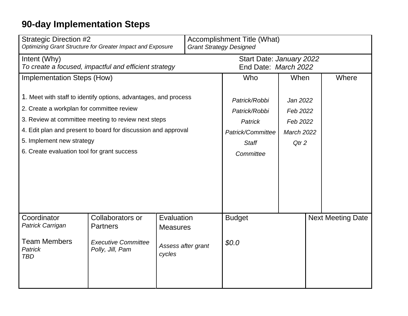| <b>Strategic Direction #2</b><br>Optimizing Grant Structure for Greater Impact and Exposure |                                                                   |                           | <b>Accomplishment Title (What)</b><br><b>Grant Strategy Designed</b> |                                                  |                   |  |                          |
|---------------------------------------------------------------------------------------------|-------------------------------------------------------------------|---------------------------|----------------------------------------------------------------------|--------------------------------------------------|-------------------|--|--------------------------|
| Intent (Why)                                                                                | To create a focused, impactful and efficient strategy             |                           |                                                                      | Start Date: January 2022<br>End Date: March 2022 |                   |  |                          |
| Implementation Steps (How)                                                                  |                                                                   |                           |                                                                      | Who                                              | When              |  | Where                    |
|                                                                                             | 1. Meet with staff to identify options, advantages, and process   |                           |                                                                      | Patrick/Robbi                                    | Jan 2022          |  |                          |
| 2. Create a workplan for committee review                                                   |                                                                   |                           |                                                                      | Patrick/Robbi                                    | Feb 2022          |  |                          |
|                                                                                             | 3. Review at committee meeting to review next steps               |                           |                                                                      | Patrick                                          | Feb 2022          |  |                          |
|                                                                                             | 4. Edit plan and present to board for discussion and approval     |                           |                                                                      | Patrick/Committee                                | <b>March 2022</b> |  |                          |
| 5. Implement new strategy                                                                   |                                                                   |                           |                                                                      | <b>Staff</b>                                     | Qtr <sub>2</sub>  |  |                          |
| 6. Create evaluation tool for grant success                                                 |                                                                   |                           |                                                                      | Committee                                        |                   |  |                          |
|                                                                                             |                                                                   |                           |                                                                      |                                                  |                   |  |                          |
| Coordinator<br>Patrick Carrigan                                                             | Collaborators or                                                  | Evaluation                |                                                                      | <b>Budget</b>                                    |                   |  | <b>Next Meeting Date</b> |
| <b>Team Members</b><br><b>Patrick</b><br><b>TBD</b>                                         | <b>Partners</b><br><b>Executive Committee</b><br>Polly, Jill, Pam | <b>Measures</b><br>cycles | Assess after grant                                                   | \$0.0                                            |                   |  |                          |
|                                                                                             |                                                                   |                           |                                                                      |                                                  |                   |  |                          |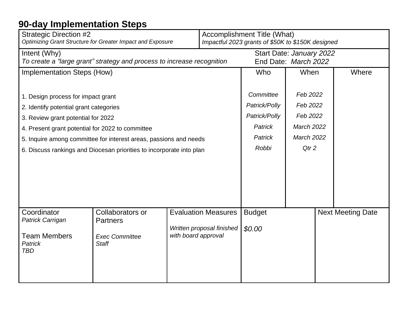| <b>Strategic Direction #2</b><br>Optimizing Grant Structure for Greater Impact and Exposure |                                                                   |                                                                                    | Accomplishment Title (What)<br>Impactful 2023 grants of \$50K to \$150K designed |                                                  |                   |                          |       |
|---------------------------------------------------------------------------------------------|-------------------------------------------------------------------|------------------------------------------------------------------------------------|----------------------------------------------------------------------------------|--------------------------------------------------|-------------------|--------------------------|-------|
| Intent (Why)<br>To create a "large grant" strategy and process to increase recognition      |                                                                   |                                                                                    |                                                                                  | Start Date: January 2022<br>End Date: March 2022 |                   |                          |       |
| <b>Implementation Steps (How)</b>                                                           |                                                                   |                                                                                    |                                                                                  | Who                                              | When              |                          | Where |
| 1. Design process for impact grant                                                          |                                                                   |                                                                                    |                                                                                  | Committee<br>Feb 2022                            |                   |                          |       |
| 2. Identify potential grant categories                                                      |                                                                   |                                                                                    |                                                                                  | Patrick/Polly                                    | Feb 2022          |                          |       |
| 3. Review grant potential for 2022                                                          |                                                                   |                                                                                    |                                                                                  | Patrick/Polly                                    | Feb 2022          |                          |       |
| 4. Present grant potential for 2022 to committee                                            |                                                                   |                                                                                    |                                                                                  | <b>Patrick</b>                                   | <b>March 2022</b> |                          |       |
|                                                                                             | 5. Inquire among committee for interest areas, passions and needs |                                                                                    |                                                                                  | Patrick                                          | <b>March 2022</b> |                          |       |
| 6. Discuss rankings and Diocesan priorities to incorporate into plan                        |                                                                   |                                                                                    | Robbi                                                                            | Qtr <sub>2</sub>                                 |                   |                          |       |
|                                                                                             |                                                                   |                                                                                    |                                                                                  |                                                  |                   |                          |       |
| Coordinator<br>Patrick Carrigan                                                             | Collaborators or<br><b>Partners</b>                               | <b>Evaluation Measures</b><br><b>Budget</b><br>Written proposal finished<br>\$0.00 |                                                                                  |                                                  |                   | <b>Next Meeting Date</b> |       |
| <b>Team Members</b><br><b>Patrick</b><br><b>TBD</b>                                         | <b>Exec Committee</b><br><b>Staff</b>                             | with board approval                                                                |                                                                                  |                                                  |                   |                          |       |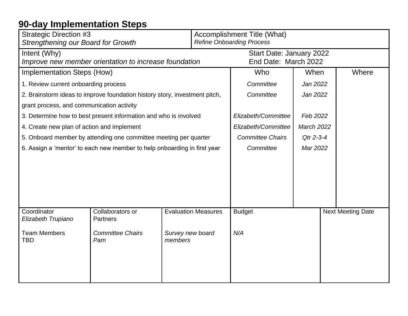| <b>Strategic Direction #3</b><br><b>Strengthening our Board for Growth</b>                             | Accomplishment Title (What)<br><b>Refine Onboarding Process</b> |                                                  |                          |  |  |
|--------------------------------------------------------------------------------------------------------|-----------------------------------------------------------------|--------------------------------------------------|--------------------------|--|--|
| Intent (Why)<br>Improve new member orientation to increase foundation                                  |                                                                 | Start Date: January 2022<br>End Date: March 2022 |                          |  |  |
| <b>Implementation Steps (How)</b>                                                                      | Who                                                             | When                                             | Where                    |  |  |
| 1. Review current onboarding process                                                                   | Committee                                                       | Jan 2022                                         |                          |  |  |
| 2. Brainstorm ideas to improve foundation history story, investment pitch,                             | Committee                                                       | Jan 2022                                         |                          |  |  |
| grant process, and communication activity                                                              |                                                                 |                                                  |                          |  |  |
| 3. Determine how to best present information and who is involved                                       | Elizabeth/Committee                                             | Feb 2022                                         |                          |  |  |
| 4. Create new plan of action and implement                                                             | Elizabeth/Committee                                             | <b>March 2022</b>                                |                          |  |  |
| 5. Onboard member by attending one committee meeting per quarter                                       | <b>Committee Chairs</b>                                         | Qtr 2-3-4                                        |                          |  |  |
| 6. Assign a 'mentor' to each new member to help onboarding in first year                               | Committee                                                       | Mar 2022                                         |                          |  |  |
|                                                                                                        |                                                                 |                                                  |                          |  |  |
|                                                                                                        |                                                                 |                                                  |                          |  |  |
|                                                                                                        |                                                                 |                                                  |                          |  |  |
|                                                                                                        |                                                                 |                                                  |                          |  |  |
|                                                                                                        |                                                                 |                                                  |                          |  |  |
| <b>Evaluation Measures</b><br>Coordinator<br>Collaborators or<br>Elizabeth Trupiano<br><b>Partners</b> | <b>Budget</b>                                                   |                                                  | <b>Next Meeting Date</b> |  |  |
| <b>Team Members</b><br><b>Committee Chairs</b><br>Survey new board<br><b>TBD</b><br>members<br>Pam     | N/A                                                             |                                                  |                          |  |  |
|                                                                                                        |                                                                 |                                                  |                          |  |  |
|                                                                                                        |                                                                 |                                                  |                          |  |  |
|                                                                                                        |                                                                 |                                                  |                          |  |  |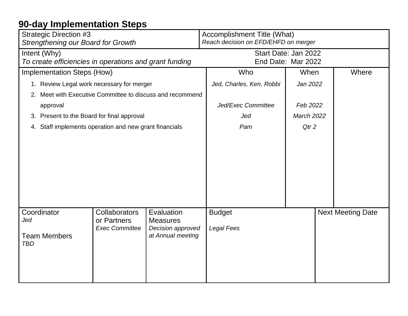| <b>Strategic Direction #3</b><br><b>Strengthening our Board for Growth</b>                                                                                                                         |                                                        |                                    | Accomplishment Title (What)<br>Reach decision on EFD/EHFD on merger |                          |       |  |
|----------------------------------------------------------------------------------------------------------------------------------------------------------------------------------------------------|--------------------------------------------------------|------------------------------------|---------------------------------------------------------------------|--------------------------|-------|--|
| Intent (Why)<br>To create efficiencies in operations and grant funding                                                                                                                             |                                                        |                                    | Start Date: Jan 2022<br>End Date: Mar 2022                          |                          |       |  |
| Implementation Steps (How)                                                                                                                                                                         |                                                        |                                    | Who                                                                 | When                     | Where |  |
| 1. Review Legal work necessary for merger                                                                                                                                                          |                                                        |                                    | Jed, Charles, Ken, Robbi                                            | Jan 2022                 |       |  |
| 2.                                                                                                                                                                                                 | Meet with Executive Committee to discuss and recommend |                                    |                                                                     |                          |       |  |
| approval                                                                                                                                                                                           |                                                        |                                    | Jed/Exec Committee                                                  | Feb 2022                 |       |  |
| 3. Present to the Board for final approval                                                                                                                                                         |                                                        |                                    | Jed                                                                 | <b>March 2022</b>        |       |  |
| 4. Staff implements operation and new grant financials                                                                                                                                             |                                                        |                                    | Pam                                                                 | Qtr <sub>2</sub>         |       |  |
|                                                                                                                                                                                                    |                                                        |                                    |                                                                     |                          |       |  |
| Coordinator<br><b>Collaborators</b><br>Evaluation<br>Jed<br>or Partners<br><b>Measures</b><br><b>Exec Committee</b><br>Decision approved<br>at Annual meeting<br><b>Team Members</b><br><b>TBD</b> |                                                        | <b>Budget</b><br><b>Legal Fees</b> |                                                                     | <b>Next Meeting Date</b> |       |  |